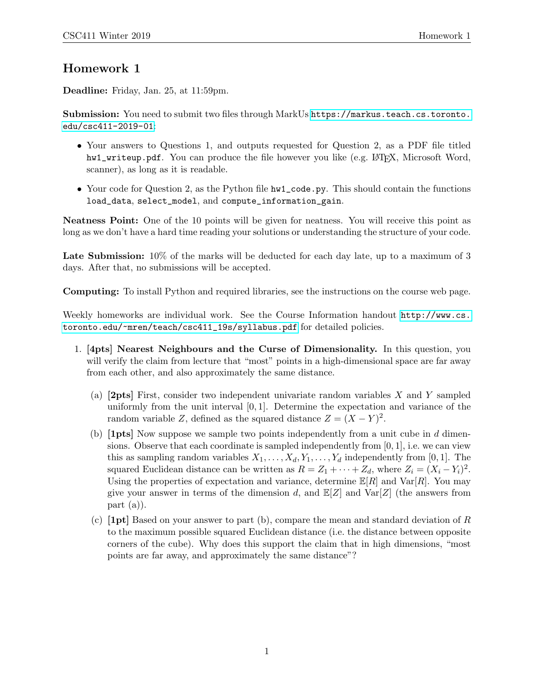## Homework 1

Deadline: Friday, Jan. 25, at 11:59pm.

Submission: You need to submit two files through MarkUs [https://markus.teach.cs.toronto.](https://markus.teach.cs.toronto.edu/csc411-2019-01) [edu/csc411-2019-01](https://markus.teach.cs.toronto.edu/csc411-2019-01):

- Your answers to Questions 1, and outputs requested for Question 2, as a PDF file titled hw1\_writeup.pdf. You can produce the file however you like (e.g. L<sup>AT</sup>FX, Microsoft Word, scanner), as long as it is readable.
- Your code for Question 2, as the Python file  $hwt \_code.py$ . This should contain the functions load\_data, select\_model, and compute\_information\_gain.

Neatness Point: One of the 10 points will be given for neatness. You will receive this point as long as we don't have a hard time reading your solutions or understanding the structure of your code.

Late Submission:  $10\%$  of the marks will be deducted for each day late, up to a maximum of 3 days. After that, no submissions will be accepted.

Computing: To install Python and required libraries, see the instructions on the course web page.

Weekly homeworks are individual work. See the Course Information handout [http://www.cs.](http://www.cs.toronto.edu/~mren/teach/csc411_19s/syllabus.pdf) [toronto.edu/~mren/teach/csc411\\_19s/syllabus.pdf](http://www.cs.toronto.edu/~mren/teach/csc411_19s/syllabus.pdf) for detailed policies.

- 1. [4pts] Nearest Neighbours and the Curse of Dimensionality. In this question, you will verify the claim from lecture that "most" points in a high-dimensional space are far away from each other, and also approximately the same distance.
	- (a) [2pts] First, consider two independent univariate random variables X and Y sampled uniformly from the unit interval  $[0, 1]$ . Determine the expectation and variance of the random variable Z, defined as the squared distance  $Z = (X - Y)^2$ .
	- (b)  $[1pts]$  Now suppose we sample two points independently from a unit cube in d dimensions. Observe that each coordinate is sampled independently from  $[0, 1]$ , i.e. we can view this as sampling random variables  $X_1, \ldots, X_d, Y_1, \ldots, Y_d$  independently from [0, 1]. The squared Euclidean distance can be written as  $R = Z_1 + \cdots + Z_d$ , where  $Z_i = (X_i - Y_i)^2$ . Using the properties of expectation and variance, determine  $\mathbb{E}[R]$  and  $\text{Var}[R]$ . You may give your answer in terms of the dimension d, and  $\mathbb{E}[Z]$  and  $\text{Var}[Z]$  (the answers from part (a)).
	- (c)  $[1pt]$  Based on your answer to part (b), compare the mean and standard deviation of R to the maximum possible squared Euclidean distance (i.e. the distance between opposite corners of the cube). Why does this support the claim that in high dimensions, "most points are far away, and approximately the same distance"?